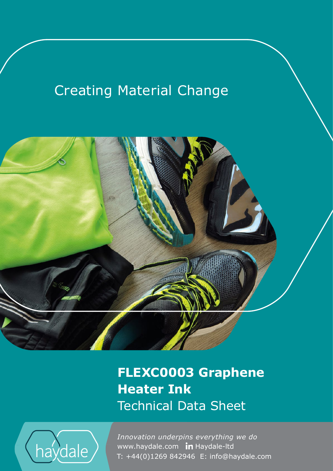# **Creating Material Change**



**FLEXC0003 Graphene Heater Ink** Technical Data Sheet



www.haydale.com In Haydale-Itd *Innovation underpins everything we do*  T: +44(0)1269 842946 E: info@haydale.com